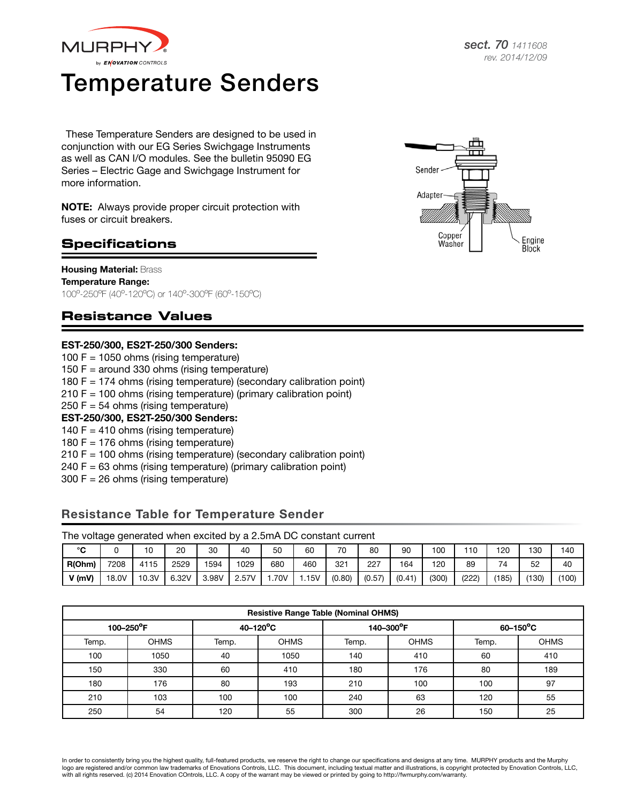

# Temperature Senders

These Temperature Senders are designed to be used in conjunction with our EG Series Swichgage Instruments as well as CAN I/O modules. See the bulletin 95090 EG Series – Electric Gage and Swichgage Instrument for more information.

NOTE: Always provide proper circuit protection with fuses or circuit breakers.

#### **Specifications**

**Housing Material: Brass** Temperature Range: 100º-250ºF (40º-120ºC) or 140º-300ºF (60º-150ºC)

#### **Resistance Values**

#### EST-250/300, ES2T-250/300 Senders:

100 F = 1050 ohms (rising temperature) 150 F = around 330 ohms (rising temperature) 180 F  $=$  174 ohms (rising temperature) (secondary calibration point) 210 F = 100 ohms (rising temperature) (primary calibration point) 250 F = 54 ohms (rising temperature) EST-250/300, ES2T-250/300 Senders: 140 F = 410 ohms (rising temperature) 180 F = 176 ohms (rising temperature)  $210$  F = 100 ohms (rising temperature) (secondary calibration point)  $240$  F = 63 ohms (rising temperature) (primary calibration point)  $300$  F = 26 ohms (rising temperature)

#### Resistance Table for Temperature Sender

The voltage generated when excited by a 2.5mA DC constant current

|          | _     |       |       |       |       |      |      |        |        |        |       |       |       |       |       |
|----------|-------|-------|-------|-------|-------|------|------|--------|--------|--------|-------|-------|-------|-------|-------|
| $\sim$   |       | 10    | 20    | 30    | 40    | 50   | 60   | 70     | 80     | 90     | 100   | 110   | 120   | 130   | 140   |
| R(Ohm)   | 7208  | 4115  | 2529  | 1594  | 029   | 680  | 460  | 321    | 227    | 164    | 120   | 89    | 74    | 52    | 40    |
| $V$ (mV) | 18.0V | 10.3V | 6.32V | 3.98V | 2.57V | .70V | .15V | (0.80) | (0.57) | (0.41) | (300) | (222) | (185) | (130) | (100) |

| <b>Resistive Range Table (Nominal OHMS)</b> |                            |       |             |       |                            |                         |             |  |
|---------------------------------------------|----------------------------|-------|-------------|-------|----------------------------|-------------------------|-------------|--|
|                                             | $100 - 250$ <sup>o</sup> F |       | $40-120$ °C |       | $140 - 300$ <sup>o</sup> F | $60-150$ <sup>o</sup> C |             |  |
| Temp.                                       | <b>OHMS</b>                | Temp. | <b>OHMS</b> | Temp. | <b>OHMS</b>                | Temp.                   | <b>OHMS</b> |  |
| 100                                         | 1050                       | 40    | 1050        | 140   | 410                        | 60                      | 410         |  |
| 150                                         | 330                        | 60    | 410         | 180   | 176                        | 80                      | 189         |  |
| 180                                         | 176                        | 80    | 193         | 210   | 100                        | 100                     | 97          |  |
| 210                                         | 103                        | 100   | 100         | 240   | 63                         | 120                     | 55          |  |
| 250                                         | 54                         | 120   | 55          | 300   | 26                         | 150                     | 25          |  |



In order to consistently bring you the highest quality, full-featured products, we reserve the right to change our specifications and designs at any time. MURPHY products and the Murphy logo are registered and/or common law trademarks of Enovations Controls, LLC. This document, including textual matter and illustrations, is copyright protected by Enovation Controls, LLC, with all rights reserved. (c) 2014 Enovation COntrols, LLC. A copy of the warrant may be viewed or printed by going to http://fwmurphy.com/warranty.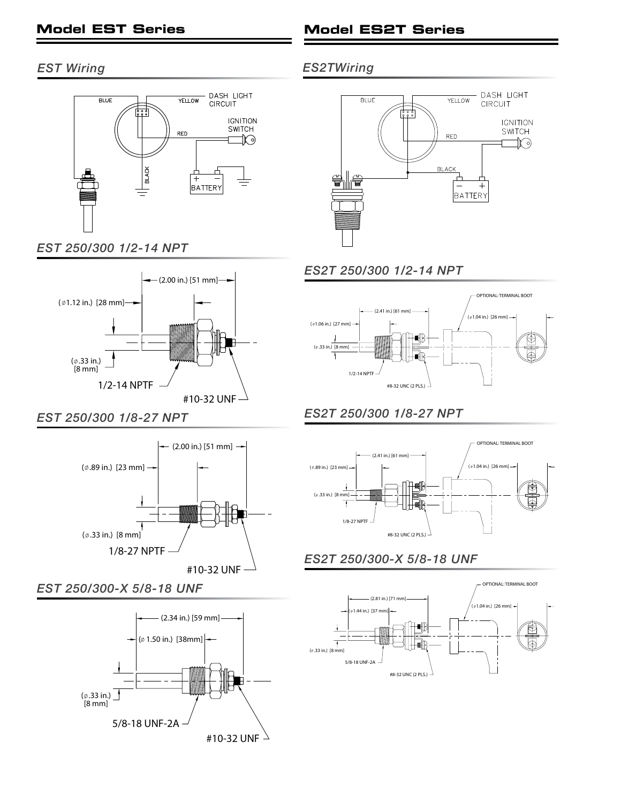## *EST Wiring*



*EST 250/300 1/2-14 NPT*



#### *EST 250/300 1/8-27 NPT*



## *EST 250/300-X 5/8-18 UNF*



#### *ES2TWiring*



## *ES2T 250/300 1/2-14 NPT*



# *ES2T 250/300 1/8-27 NPT*



## *ES2T 250/300-X 5/8-18 UNF*